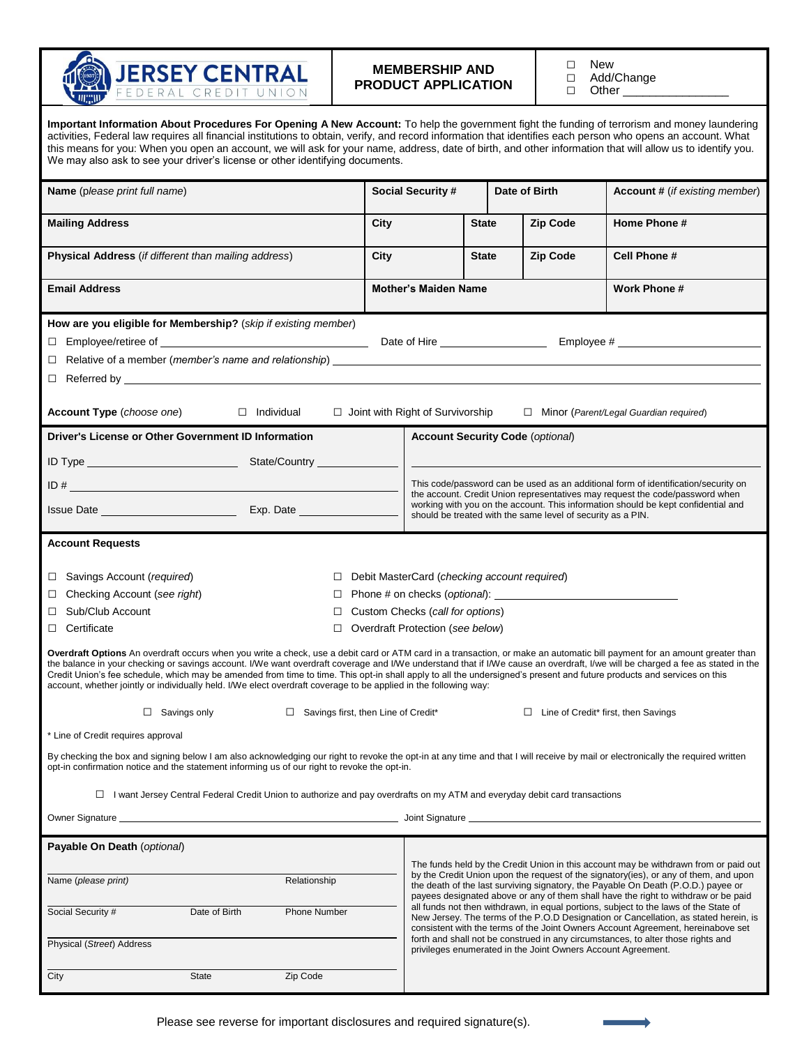

## **MEMBERSHIP AND PRODUCT APPLICATION**

□ New<br>□ Add/

□ Add/Change<br>□ Other Other \_

| Important Information About Procedures For Opening A New Account: To help the government fight the funding of terrorism and money laundering<br>activities, Federal law requires all financial institutions to obtain, verify, and record information that identifies each person who opens an account. What<br>this means for you: When you open an account, we will ask for your name, address, date of birth, and other information that will allow us to identify you.<br>We may also ask to see your driver's license or other identifying documents.                                                                                                |                                                                                                                                                                    |                                                                                                                                                                                                                                                                                                                                                        |              |                 |                                         |                                       |  |  |  |  |
|-----------------------------------------------------------------------------------------------------------------------------------------------------------------------------------------------------------------------------------------------------------------------------------------------------------------------------------------------------------------------------------------------------------------------------------------------------------------------------------------------------------------------------------------------------------------------------------------------------------------------------------------------------------|--------------------------------------------------------------------------------------------------------------------------------------------------------------------|--------------------------------------------------------------------------------------------------------------------------------------------------------------------------------------------------------------------------------------------------------------------------------------------------------------------------------------------------------|--------------|-----------------|-----------------------------------------|---------------------------------------|--|--|--|--|
| <b>Name</b> (please print full name)                                                                                                                                                                                                                                                                                                                                                                                                                                                                                                                                                                                                                      |                                                                                                                                                                    | <b>Social Security #</b>                                                                                                                                                                                                                                                                                                                               |              | Date of Birth   |                                         | <b>Account #</b> (if existing member) |  |  |  |  |
| <b>Mailing Address</b>                                                                                                                                                                                                                                                                                                                                                                                                                                                                                                                                                                                                                                    |                                                                                                                                                                    | City                                                                                                                                                                                                                                                                                                                                                   |              | <b>State</b>    | <b>Zip Code</b>                         | Home Phone #                          |  |  |  |  |
| Physical Address (if different than mailing address)                                                                                                                                                                                                                                                                                                                                                                                                                                                                                                                                                                                                      | City                                                                                                                                                               |                                                                                                                                                                                                                                                                                                                                                        | <b>State</b> | <b>Zip Code</b> |                                         | Cell Phone #                          |  |  |  |  |
| <b>Email Address</b>                                                                                                                                                                                                                                                                                                                                                                                                                                                                                                                                                                                                                                      |                                                                                                                                                                    | <b>Mother's Maiden Name</b>                                                                                                                                                                                                                                                                                                                            |              |                 |                                         | Work Phone #                          |  |  |  |  |
| How are you eligible for Membership? (skip if existing member)<br>$\Box$<br>$\Box$ Referred by                                                                                                                                                                                                                                                                                                                                                                                                                                                                                                                                                            |                                                                                                                                                                    |                                                                                                                                                                                                                                                                                                                                                        |              |                 |                                         |                                       |  |  |  |  |
| <b>Account Type</b> ( <i>choose one</i> ) □ Individual<br>$\Box$ Joint with Right of Survivorship<br>$\Box$ Minor (Parent/Legal Guardian required)                                                                                                                                                                                                                                                                                                                                                                                                                                                                                                        |                                                                                                                                                                    |                                                                                                                                                                                                                                                                                                                                                        |              |                 |                                         |                                       |  |  |  |  |
| Driver's License or Other Government ID Information                                                                                                                                                                                                                                                                                                                                                                                                                                                                                                                                                                                                       |                                                                                                                                                                    |                                                                                                                                                                                                                                                                                                                                                        |              |                 | <b>Account Security Code (optional)</b> |                                       |  |  |  |  |
|                                                                                                                                                                                                                                                                                                                                                                                                                                                                                                                                                                                                                                                           |                                                                                                                                                                    |                                                                                                                                                                                                                                                                                                                                                        |              |                 |                                         |                                       |  |  |  |  |
|                                                                                                                                                                                                                                                                                                                                                                                                                                                                                                                                                                                                                                                           | This code/password can be used as an additional form of identification/security on<br>the account. Credit Union representatives may request the code/password when |                                                                                                                                                                                                                                                                                                                                                        |              |                 |                                         |                                       |  |  |  |  |
|                                                                                                                                                                                                                                                                                                                                                                                                                                                                                                                                                                                                                                                           | working with you on the account. This information should be kept confidential and<br>should be treated with the same level of security as a PIN.                   |                                                                                                                                                                                                                                                                                                                                                        |              |                 |                                         |                                       |  |  |  |  |
| <b>Account Requests</b>                                                                                                                                                                                                                                                                                                                                                                                                                                                                                                                                                                                                                                   |                                                                                                                                                                    |                                                                                                                                                                                                                                                                                                                                                        |              |                 |                                         |                                       |  |  |  |  |
| Savings Account (required)<br>Debit MasterCard (checking account required)<br>$\Box$<br>П                                                                                                                                                                                                                                                                                                                                                                                                                                                                                                                                                                 |                                                                                                                                                                    |                                                                                                                                                                                                                                                                                                                                                        |              |                 |                                         |                                       |  |  |  |  |
| Checking Account (see right)<br>□<br>$\Box$                                                                                                                                                                                                                                                                                                                                                                                                                                                                                                                                                                                                               |                                                                                                                                                                    |                                                                                                                                                                                                                                                                                                                                                        |              |                 |                                         |                                       |  |  |  |  |
| Sub/Club Account<br>□<br>□                                                                                                                                                                                                                                                                                                                                                                                                                                                                                                                                                                                                                                | Custom Checks (call for options)                                                                                                                                   |                                                                                                                                                                                                                                                                                                                                                        |              |                 |                                         |                                       |  |  |  |  |
| $\Box$ Certificate<br>□                                                                                                                                                                                                                                                                                                                                                                                                                                                                                                                                                                                                                                   |                                                                                                                                                                    | Overdraft Protection (see below)                                                                                                                                                                                                                                                                                                                       |              |                 |                                         |                                       |  |  |  |  |
| Overdraft Options An overdraft occurs when you write a check, use a debit card or ATM card in a transaction, or make an automatic bill payment for an amount greater than<br>the balance in your checking or savings account. I/We want overdraft coverage and I/We understand that if I/We cause an overdraft, I/we will be charged a fee as stated in the<br>Credit Union's fee schedule, which may be amended from time to time. This opt-in shall apply to all the undersigned's present and future products and services on this<br>account, whether jointly or individually held. I/We elect overdraft coverage to be applied in the following way: |                                                                                                                                                                    |                                                                                                                                                                                                                                                                                                                                                        |              |                 |                                         |                                       |  |  |  |  |
| $\Box$ Savings only<br>$\Box$ Line of Credit* first, then Savings<br>$\Box$ Savings first, then Line of Credit*                                                                                                                                                                                                                                                                                                                                                                                                                                                                                                                                           |                                                                                                                                                                    |                                                                                                                                                                                                                                                                                                                                                        |              |                 |                                         |                                       |  |  |  |  |
| * Line of Credit requires approval                                                                                                                                                                                                                                                                                                                                                                                                                                                                                                                                                                                                                        |                                                                                                                                                                    |                                                                                                                                                                                                                                                                                                                                                        |              |                 |                                         |                                       |  |  |  |  |
| By checking the box and signing below I am also acknowledging our right to revoke the opt-in at any time and that I will receive by mail or electronically the required written<br>opt-in confirmation notice and the statement informing us of our right to revoke the opt-in.                                                                                                                                                                                                                                                                                                                                                                           |                                                                                                                                                                    |                                                                                                                                                                                                                                                                                                                                                        |              |                 |                                         |                                       |  |  |  |  |
| $\Box$ I want Jersey Central Federal Credit Union to authorize and pay overdrafts on my ATM and everyday debit card transactions                                                                                                                                                                                                                                                                                                                                                                                                                                                                                                                          |                                                                                                                                                                    |                                                                                                                                                                                                                                                                                                                                                        |              |                 |                                         |                                       |  |  |  |  |
|                                                                                                                                                                                                                                                                                                                                                                                                                                                                                                                                                                                                                                                           |                                                                                                                                                                    |                                                                                                                                                                                                                                                                                                                                                        |              |                 |                                         |                                       |  |  |  |  |
| Payable On Death (optional)                                                                                                                                                                                                                                                                                                                                                                                                                                                                                                                                                                                                                               |                                                                                                                                                                    |                                                                                                                                                                                                                                                                                                                                                        |              |                 |                                         |                                       |  |  |  |  |
| Name (please print)<br>Relationship                                                                                                                                                                                                                                                                                                                                                                                                                                                                                                                                                                                                                       |                                                                                                                                                                    | The funds held by the Credit Union in this account may be withdrawn from or paid out<br>by the Credit Union upon the request of the signatory(ies), or any of them, and upon<br>the death of the last surviving signatory, the Payable On Death (P.O.D.) payee or                                                                                      |              |                 |                                         |                                       |  |  |  |  |
| Social Security #<br>Date of Birth<br>Phone Number                                                                                                                                                                                                                                                                                                                                                                                                                                                                                                                                                                                                        |                                                                                                                                                                    | payees designated above or any of them shall have the right to withdraw or be paid<br>all funds not then withdrawn, in equal portions, subject to the laws of the State of<br>New Jersey. The terms of the P.O.D Designation or Cancellation, as stated herein, is<br>consistent with the terms of the Joint Owners Account Agreement, hereinabove set |              |                 |                                         |                                       |  |  |  |  |
| Physical (Street) Address                                                                                                                                                                                                                                                                                                                                                                                                                                                                                                                                                                                                                                 |                                                                                                                                                                    | forth and shall not be construed in any circumstances, to alter those rights and<br>privileges enumerated in the Joint Owners Account Agreement.                                                                                                                                                                                                       |              |                 |                                         |                                       |  |  |  |  |
| City<br><b>State</b><br>Zip Code                                                                                                                                                                                                                                                                                                                                                                                                                                                                                                                                                                                                                          |                                                                                                                                                                    |                                                                                                                                                                                                                                                                                                                                                        |              |                 |                                         |                                       |  |  |  |  |